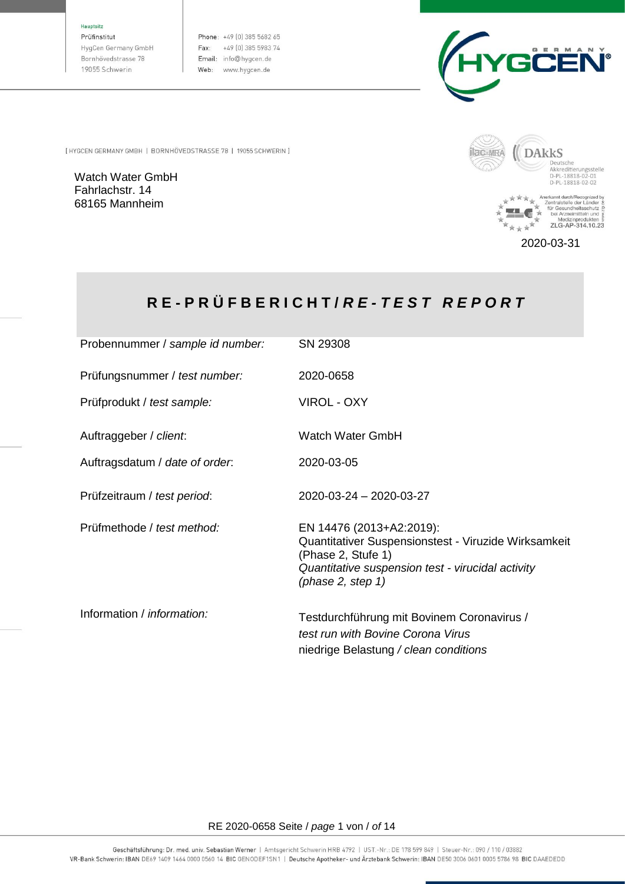Hauptsitz

Prüfinstitut HygCen Germany GmbH Bornhövedstrasse 78 19055 Schwerin

Phone: +49 (0) 385 5682 65 Fax: +49 (0) 385 5983 74 Email: info@hygcen.de Web: www.hygcen.de



[HYGCEN GERMANY GMBH | BORNHÖVEDSTRASSE 78 | 19055 SCHWERIN ]

Watch Water GmbH Fahrlachstr. 14 68165 Mannheim



Anerkannt durch/Recognized by<br>
Zentralstelle der Länder &<br>
The Gesundheitsschutz<br>  $\overset{\text{re}}{\underset{N}{\bigstar}}$  bei Arzneimitteln und  $\overset{\text{e}}{\underset{N}{\bigstar}}$ <br>
Medizinprodukten »<br>
ZLG-AP-314.10.23 女<br>女 r.

2020-03-31

# **R E - P R Ü F B E R I C H T /** *R E - T E S T R E P O R T*

| Probennummer / sample id number:  | SN 29308                                                                                                                                                                               |
|-----------------------------------|----------------------------------------------------------------------------------------------------------------------------------------------------------------------------------------|
| Prüfungsnummer / test number:     | 2020-0658                                                                                                                                                                              |
| Prüfprodukt / test sample:        | VIROL - OXY                                                                                                                                                                            |
| Auftraggeber / client.            | Watch Water GmbH                                                                                                                                                                       |
| Auftragsdatum / date of order.    | 2020-03-05                                                                                                                                                                             |
| Prüfzeitraum / test period:       | 2020-03-24 - 2020-03-27                                                                                                                                                                |
| Prüfmethode / test method:        | EN 14476 (2013+A2:2019):<br>Quantitativer Suspensionstest - Viruzide Wirksamkeit<br>(Phase 2, Stufe 1)<br>Quantitative suspension test - virucidal activity<br>(phase $2$ , step $1$ ) |
| Information / <i>information:</i> | Testdurchführung mit Bovinem Coronavirus /<br>test run with Bovine Corona Virus<br>niedrige Belastung / clean conditions                                                               |

#### RE 2020-0658 Seite / *page* 1 von / *of* 14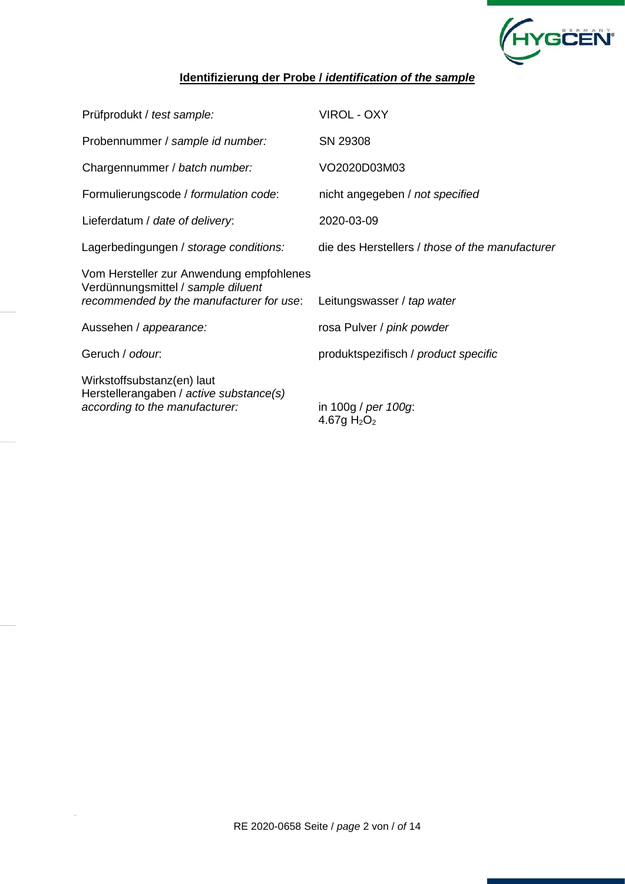

## **Identifizierung der Probe /** *identification of the sample*

| Prüfprodukt / test sample:                                                                                                 | VIROL - OXY                                     |
|----------------------------------------------------------------------------------------------------------------------------|-------------------------------------------------|
| Probennummer / sample id number:                                                                                           | SN 29308                                        |
| Chargennummer / batch number:                                                                                              | VO2020D03M03                                    |
| Formulierungscode / formulation code:                                                                                      | nicht angegeben / not specified                 |
| Lieferdatum / date of delivery:                                                                                            | 2020-03-09                                      |
| Lagerbedingungen / storage conditions:                                                                                     | die des Herstellers / those of the manufacturer |
| Vom Hersteller zur Anwendung empfohlenes<br>Verdünnungsmittel / sample diluent<br>recommended by the manufacturer for use: | Leitungswasser / tap water                      |
| Aussehen / appearance:                                                                                                     | rosa Pulver / pink powder                       |
| Geruch / odour.                                                                                                            | produktspezifisch / product specific            |
| Wirkstoffsubstanz(en) laut<br>Herstellerangaben / active substance(s)<br>according to the manufacturer:                    | in 100g / per 100g:<br>4.67g $H_2O_2$           |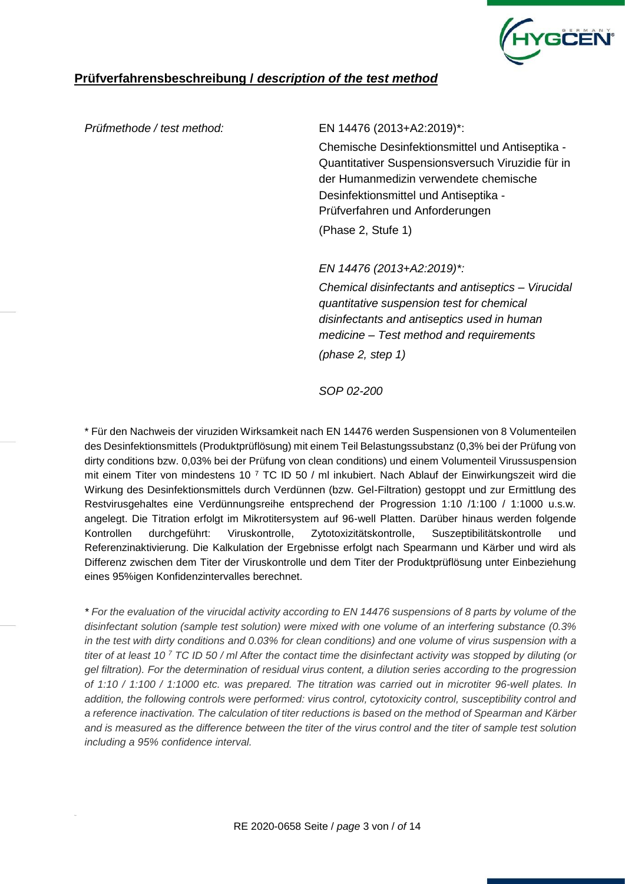

#### *Prüfmethode / test method:* EN 14476 (2013+A2:2019)\*:

Chemische Desinfektionsmittel und Antiseptika - Quantitativer Suspensionsversuch Viruzidie für in der Humanmedizin verwendete chemische Desinfektionsmittel und Antiseptika - Prüfverfahren und Anforderungen (Phase 2, Stufe 1)

*EN 14476 (2013+A2:2019)\*:*

*Chemical disinfectants and antiseptics – Virucidal quantitative suspension test for chemical disinfectants and antiseptics used in human medicine – Test method and requirements (phase 2, step 1)*

*SOP 02-200*

\* Für den Nachweis der viruziden Wirksamkeit nach EN 14476 werden Suspensionen von 8 Volumenteilen des Desinfektionsmittels (Produktprüflösung) mit einem Teil Belastungssubstanz (0,3% bei der Prüfung von dirty conditions bzw. 0,03% bei der Prüfung von clean conditions) und einem Volumenteil Virussuspension mit einem Titer von mindestens 10 <sup>7</sup> TC ID 50 / ml inkubiert. Nach Ablauf der Einwirkungszeit wird die Wirkung des Desinfektionsmittels durch Verdünnen (bzw. Gel-Filtration) gestoppt und zur Ermittlung des Restvirusgehaltes eine Verdünnungsreihe entsprechend der Progression 1:10 /1:100 / 1:1000 u.s.w. angelegt. Die Titration erfolgt im Mikrotitersystem auf 96-well Platten. Darüber hinaus werden folgende Kontrollen durchgeführt: Viruskontrolle, Zytotoxizitätskontrolle, Suszeptibilitätskontrolle und Referenzinaktivierung. Die Kalkulation der Ergebnisse erfolgt nach Spearmann und Kärber und wird als Differenz zwischen dem Titer der Viruskontrolle und dem Titer der Produktprüflösung unter Einbeziehung eines 95%igen Konfidenzintervalles berechnet.

*\* For the evaluation of the virucidal activity according to EN 14476 suspensions of 8 parts by volume of the disinfectant solution (sample test solution) were mixed with one volume of an interfering substance (0.3% in the test with dirty conditions and 0.03% for clean conditions) and one volume of virus suspension with a titer of at least 10 <sup>7</sup> TC ID 50 / ml After the contact time the disinfectant activity was stopped by diluting (or gel filtration). For the determination of residual virus content, a dilution series according to the progression of 1:10 / 1:100 / 1:1000 etc. was prepared. The titration was carried out in microtiter 96-well plates. In addition, the following controls were performed: virus control, cytotoxicity control, susceptibility control and a reference inactivation. The calculation of titer reductions is based on the method of Spearman and Kärber and is measured as the difference between the titer of the virus control and the titer of sample test solution including a 95% confidence interval.*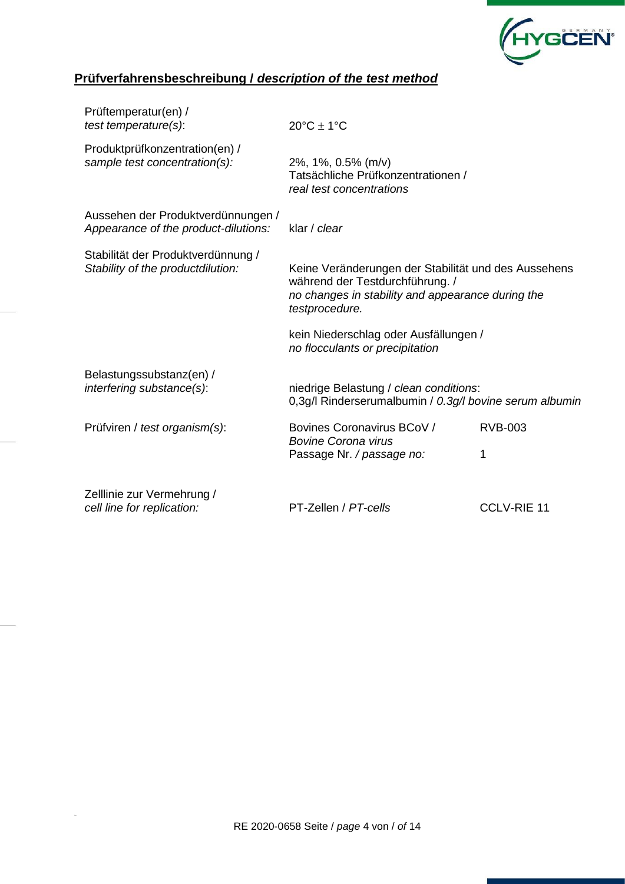

| Prüftemperatur(en) /<br>test temperature(s):                               | $20^{\circ}$ C ± 1°C                                                                              |                                                                                                           |  |  |  |  |
|----------------------------------------------------------------------------|---------------------------------------------------------------------------------------------------|-----------------------------------------------------------------------------------------------------------|--|--|--|--|
| Produktprüfkonzentration(en) /<br>sample test concentration(s):            | 2%, 1%, 0.5% (m/v)<br>Tatsächliche Prüfkonzentrationen /<br>real test concentrations              |                                                                                                           |  |  |  |  |
| Aussehen der Produktverdünnungen /<br>Appearance of the product-dilutions: | klar / clear                                                                                      |                                                                                                           |  |  |  |  |
| Stabilität der Produktverdünnung /<br>Stability of the productdilution:    | während der Testdurchführung. /<br>testprocedure.                                                 | Keine Veränderungen der Stabilität und des Aussehens<br>no changes in stability and appearance during the |  |  |  |  |
|                                                                            | kein Niederschlag oder Ausfällungen /<br>no flocculants or precipitation                          |                                                                                                           |  |  |  |  |
| Belastungssubstanz(en) /<br>interfering substance(s):                      | niedrige Belastung / clean conditions:<br>0,3g/l Rinderserumalbumin / 0.3g/l bovine serum albumin |                                                                                                           |  |  |  |  |
| Prüfviren / test organism(s):                                              | Bovines Coronavirus BCoV /<br><b>Bovine Corona virus</b><br>Passage Nr. / passage no:             | <b>RVB-003</b><br>1                                                                                       |  |  |  |  |
| Zelllinie zur Vermehrung /<br>cell line for replication:                   | PT-Zellen / PT-cells                                                                              | <b>CCLV-RIE 11</b>                                                                                        |  |  |  |  |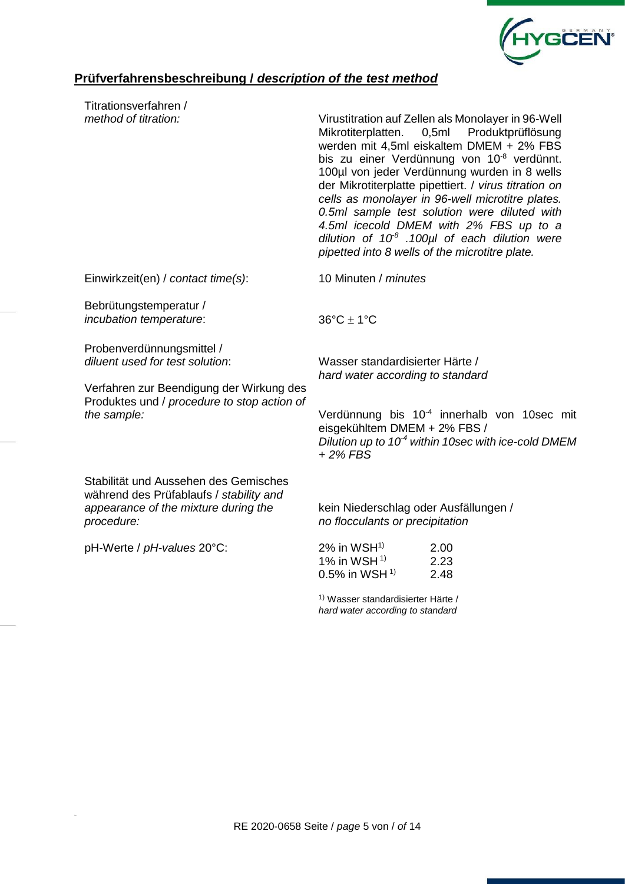

| Titrationsverfahren /                                                                                                                                                  |                                                                                                                                                                                                                                                                                                                                                                                                                                                                                                                                                                             |                                                         |  |  |  |  |  |
|------------------------------------------------------------------------------------------------------------------------------------------------------------------------|-----------------------------------------------------------------------------------------------------------------------------------------------------------------------------------------------------------------------------------------------------------------------------------------------------------------------------------------------------------------------------------------------------------------------------------------------------------------------------------------------------------------------------------------------------------------------------|---------------------------------------------------------|--|--|--|--|--|
| method of titration:                                                                                                                                                   | Virustitration auf Zellen als Monolayer in 96-Well<br>0,5ml Produktprüflösung<br>Mikrotiterplatten.<br>werden mit 4,5ml eiskaltem DMEM + 2% FBS<br>bis zu einer Verdünnung von 10 <sup>-8</sup> verdünnt.<br>100µl von jeder Verdünnung wurden in 8 wells<br>der Mikrotiterplatte pipettiert. / virus titration on<br>cells as monolayer in 96-well microtitre plates.<br>0.5ml sample test solution were diluted with<br>4.5ml icecold DMEM with 2% FBS up to a<br>dilution of $10^8$ .100 $\mu$ l of each dilution were<br>pipetted into 8 wells of the microtitre plate. |                                                         |  |  |  |  |  |
| Einwirkzeit(en) / contact time(s):                                                                                                                                     | 10 Minuten / minutes                                                                                                                                                                                                                                                                                                                                                                                                                                                                                                                                                        |                                                         |  |  |  |  |  |
| Bebrütungstemperatur /<br>incubation temperature:                                                                                                                      | $36^{\circ}$ C $\pm$ 1°C                                                                                                                                                                                                                                                                                                                                                                                                                                                                                                                                                    |                                                         |  |  |  |  |  |
| Probenverdünnungsmittel /<br>diluent used for test solution:<br>Verfahren zur Beendigung der Wirkung des<br>Produktes und / procedure to stop action of<br>the sample: | Wasser standardisierter Härte /<br>hard water according to standard                                                                                                                                                                                                                                                                                                                                                                                                                                                                                                         | Verdünnung bis 10 <sup>-4</sup> innerhalb von 10sec mit |  |  |  |  |  |
|                                                                                                                                                                        | eisgekühltem DMEM + 2% FBS /<br>$+2\%$ FBS                                                                                                                                                                                                                                                                                                                                                                                                                                                                                                                                  | Dilution up to $10-4$ within 10sec with ice-cold DMEM   |  |  |  |  |  |
| Stabilität und Aussehen des Gemisches<br>während des Prüfablaufs / stability and<br>appearance of the mixture during the                                               | kein Niederschlag oder Ausfällungen /                                                                                                                                                                                                                                                                                                                                                                                                                                                                                                                                       |                                                         |  |  |  |  |  |
| procedure:                                                                                                                                                             | no flocculants or precipitation                                                                                                                                                                                                                                                                                                                                                                                                                                                                                                                                             |                                                         |  |  |  |  |  |
| pH-Werte / pH-values 20°C:                                                                                                                                             | $2\%$ in WSH <sup>1)</sup><br>1% in WSH $1$ <sup>1)</sup><br>0.5% in WSH $^{1}$                                                                                                                                                                                                                                                                                                                                                                                                                                                                                             | 2.00<br>2.23<br>2.48                                    |  |  |  |  |  |
|                                                                                                                                                                        |                                                                                                                                                                                                                                                                                                                                                                                                                                                                                                                                                                             |                                                         |  |  |  |  |  |

1) Wasser standardisierter Härte / *hard water according to standard*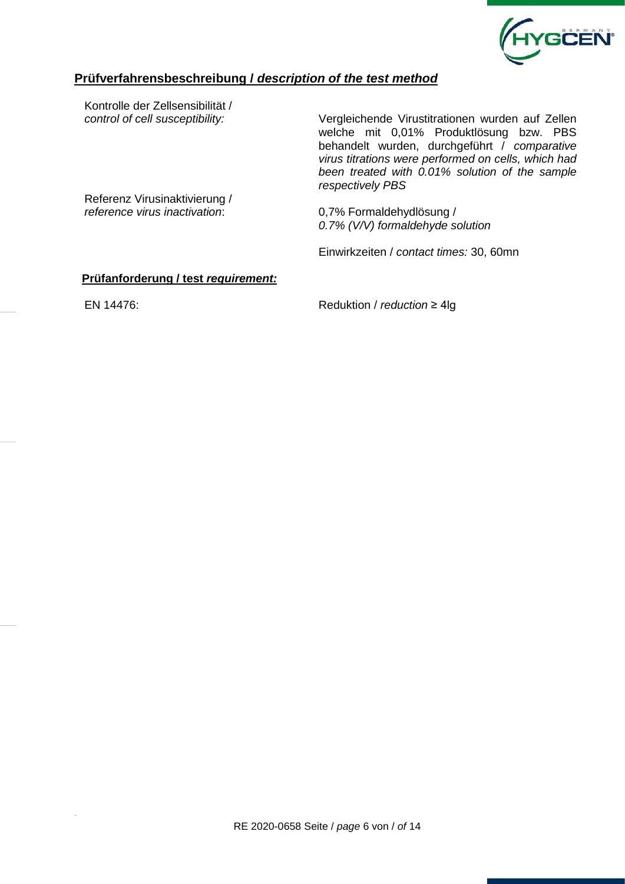

Kontrolle der Zellsensibilität /

*control of cell susceptibility:* Vergleichende Virustitrationen wurden auf Zellen welche mit 0,01% Produktlösung bzw. PBS behandelt wurden, durchgeführt / *comparative virus titrations were performed on cells, which had been treated with 0.01% solution of the sample respectively PBS*

Referenz Virusinaktivierung / *reference virus inactivation*: 0,7% Formaldehydlösung /

*0.7% (V/V) formaldehyde solution* 

Einwirkzeiten / *contact times:* 30, 60mn

#### **Prüfanforderung / test** *requirement:*

EN 14476: Reduktion / *reduction* ≥ 4lg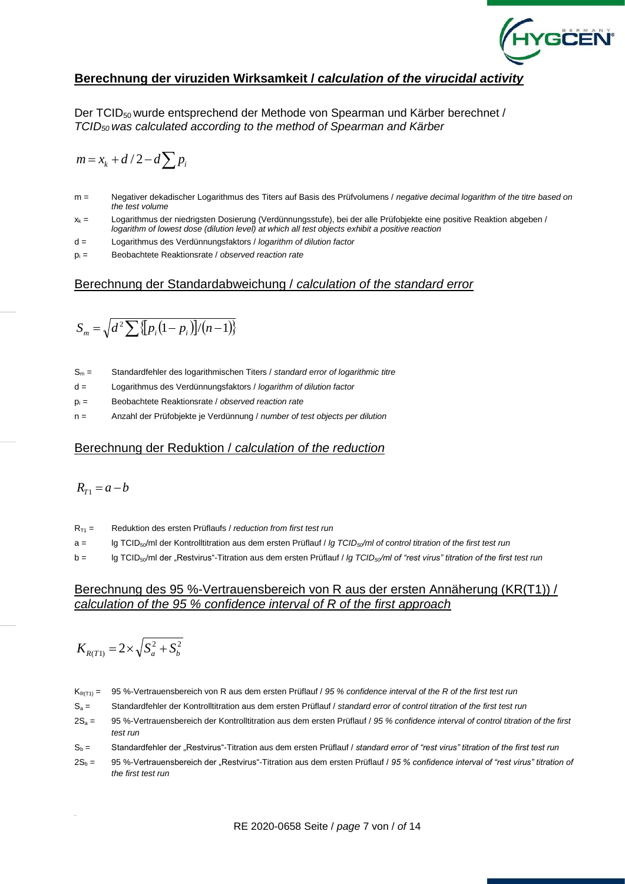

### **Berechnung der viruziden Wirksamkeit /** *calculation of the virucidal activity*

Der TCID<sub>50</sub> wurde entsprechend der Methode von Spearman und Kärber berechnet / *TCID50 was calculated according to the method of Spearman and Kärber*

$$
m = x_k + d/2 - d \sum p_i
$$

- m = Negativer dekadischer Logarithmus des Titers auf Basis des Prüfvolumens / *negative decimal logarithm of the titre based on the test volume*
- $x_k =$  Logarithmus der niedrigsten Dosierung (Verdünnungsstufe), bei der alle Prüfobjekte eine positive Reaktion abgeben / *logarithm of lowest dose (dilution level) at which all test objects exhibit a positive reaction*
- d = Logarithmus des Verdünnungsfaktors / *logarithm of dilution factor*
- p<sup>i</sup> = Beobachtete Reaktionsrate / *observed reaction rate*

#### Berechnung der Standardabweichung / *calculation of the standard error*

$$
S_m = \sqrt{d^2 \sum \{p_i(1-p_i)\}/(n-1)\}}
$$

- S<sup>m</sup> = Standardfehler des logarithmischen Titers / *standard error of logarithmic titre*
- d = Logarithmus des Verdünnungsfaktors / *logarithm of dilution factor*
- p<sup>i</sup> = Beobachtete Reaktionsrate / *observed reaction rate*
- n = Anzahl der Prüfobjekte je Verdünnung / *number of test objects per dilution*

#### Berechnung der Reduktion / *calculation of the reduction*

$$
R_{T1}=a-b
$$

- RT1 = Reduktion des ersten Prüflaufs / *reduction from first test run*
- a = lg TCID50/ml der Kontrolltitration aus dem ersten Prüflauf / *lg TCID50/ml of control titration of the first test run*
- b = lg TCID50/ml der "Restvirus"-Titration aus dem ersten Prüflauf / *lg TCID50/ml of "rest virus" titration of the first test run*

#### Berechnung des 95 %-Vertrauensbereich von R aus der ersten Annäherung (KR(T1)) / *calculation of the 95 % confidence interval of R of the first approach*

$$
K_{R(T1)}=2\times\sqrt{S_a^2+S_b^2}
$$

KR(T1) = 95 %-Vertrauensbereich von R aus dem ersten Prüflauf / *95 % confidence interval of the R of the first test run*

- S<sup>a</sup> = Standardfehler der Kontrolltitration aus dem ersten Prüflauf / *standard error of control titration of the first test run*
- 2S<sup>a</sup> = 95 %-Vertrauensbereich der Kontrolltitration aus dem ersten Prüflauf / *95 % confidence interval of control titration of the first test run*
- S<sup>b</sup> = Standardfehler der "Restvirus"-Titration aus dem ersten Prüflauf / *standard error of "rest virus" titration of the first test run*
- 2S<sup>b</sup> = 95 %-Vertrauensbereich der "Restvirus"-Titration aus dem ersten Prüflauf / *95 % confidence interval of "rest virus" titration of the first test run*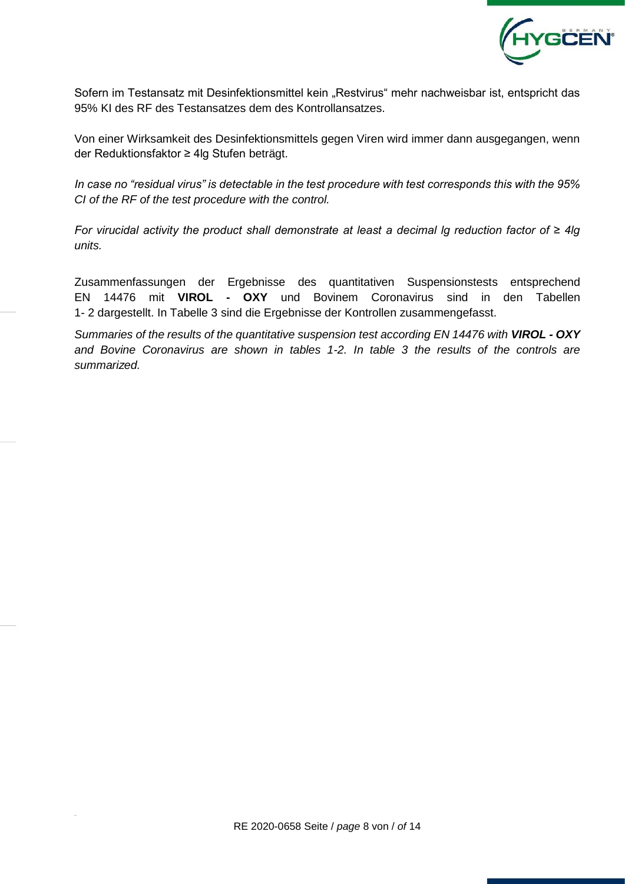

Sofern im Testansatz mit Desinfektionsmittel kein "Restvirus" mehr nachweisbar ist, entspricht das 95% KI des RF des Testansatzes dem des Kontrollansatzes.

Von einer Wirksamkeit des Desinfektionsmittels gegen Viren wird immer dann ausgegangen, wenn der Reduktionsfaktor ≥ 4lg Stufen beträgt.

*In case no "residual virus" is detectable in the test procedure with test corresponds this with the 95% CI of the RF of the test procedure with the control.*

*For virucidal activity the product shall demonstrate at least a decimal lg reduction factor of ≥ 4lg units.*

Zusammenfassungen der Ergebnisse des quantitativen Suspensionstests entsprechend EN 14476 mit **VIROL - OXY** und Bovinem Coronavirus sind in den Tabellen 1- 2 dargestellt. In Tabelle 3 sind die Ergebnisse der Kontrollen zusammengefasst.

*Summaries of the results of the quantitative suspension test according EN 14476 with VIROL - OXY and Bovine Coronavirus are shown in tables 1-2. In table 3 the results of the controls are summarized.*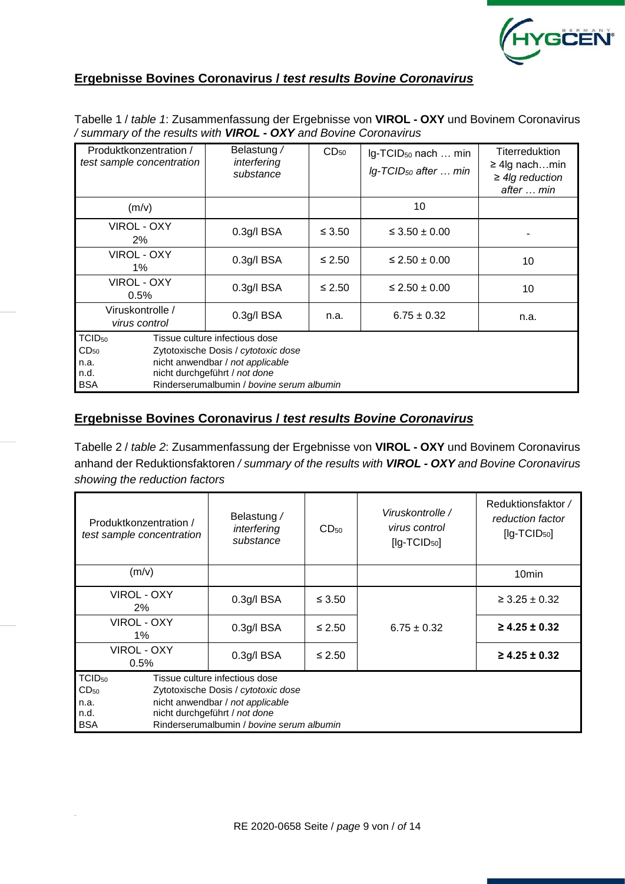

## **Ergebnisse Bovines Coronavirus /** *test results Bovine Coronavirus*

| Tabelle 1 / table 1: Zusammenfassung der Ergebnisse von VIROL - OXY und Bovinem Coronavirus |
|---------------------------------------------------------------------------------------------|
| / summary of the results with <b>VIROL - OXY</b> and Bovine Coronavirus                     |

| Produktkonzentration /<br>test sample concentration           |               | Belastung /<br>interfering<br>substance                                                                                                                                                 | CD <sub>50</sub> | Ig-TCID <sub>50</sub> nach  min<br>Ig-TCID <sub>50</sub> after  min | <b>Titerreduktion</b><br>$\geq$ 4lg nachmin<br>$\geq$ 4lg reduction<br>after  min |
|---------------------------------------------------------------|---------------|-----------------------------------------------------------------------------------------------------------------------------------------------------------------------------------------|------------------|---------------------------------------------------------------------|-----------------------------------------------------------------------------------|
| (m/v)                                                         |               |                                                                                                                                                                                         |                  | 10                                                                  |                                                                                   |
| VIROL - OXY<br>$2\%$                                          | $0.3g$ /l BSA |                                                                                                                                                                                         | $\leq 3.50$      | $\leq 3.50 \pm 0.00$                                                |                                                                                   |
| VIROL - OXY<br>$1\%$                                          |               | $0.3g$ /l BSA                                                                                                                                                                           | $\leq 2.50$      | $\leq$ 2.50 $\pm$ 0.00                                              | 10                                                                                |
| <b>VIROL - OXY</b><br>0.5%                                    |               | $0.3g$ /l BSA                                                                                                                                                                           | $≤ 2.50$         | $\leq$ 2.50 $\pm$ 0.00                                              | 10                                                                                |
| Viruskontrolle /<br>virus control                             |               | 0.3g/l BSA                                                                                                                                                                              | n.a.             | $6.75 \pm 0.32$                                                     | n.a.                                                                              |
| TCID <sub>50</sub><br>CD <sub>50</sub><br>n.a.<br>n.d.<br>BSA |               | Tissue culture infectious dose<br>Zytotoxische Dosis / cytotoxic dose<br>nicht anwendbar / not applicable<br>nicht durchgeführt / not done<br>Rinderserumalbumin / bovine serum albumin |                  |                                                                     |                                                                                   |

#### **Ergebnisse Bovines Coronavirus /** *test results Bovine Coronavirus*

Tabelle 2 / *table 2*: Zusammenfassung der Ergebnisse von **VIROL - OXY** und Bovinem Coronavirus anhand der Reduktionsfaktoren */ summary of the results with VIROL - OXY and Bovine Coronavirus showing the reduction factors*

| Produktkonzentration /<br>test sample concentration           | Belastung /<br>interfering<br>substance                                                                                                                                                 | Reduktionsfaktor /<br>reduction factor<br>$[lg-TCID50]$ |                 |                      |  |  |  |  |  |  |  |
|---------------------------------------------------------------|-----------------------------------------------------------------------------------------------------------------------------------------------------------------------------------------|---------------------------------------------------------|-----------------|----------------------|--|--|--|--|--|--|--|
| (m/v)                                                         |                                                                                                                                                                                         |                                                         |                 | 10 <sub>min</sub>    |  |  |  |  |  |  |  |
| VIROL - OXY<br>2%                                             | 0.3g/IBSA                                                                                                                                                                               | $\leq 3.50$                                             |                 | $\geq 3.25 \pm 0.32$ |  |  |  |  |  |  |  |
| VIROL - OXY<br>$1\%$                                          | 0.3q/IBSA                                                                                                                                                                               | $≤ 2.50$                                                | $6.75 \pm 0.32$ | $\geq$ 4.25 ± 0.32   |  |  |  |  |  |  |  |
| VIROL - OXY<br>0.5%                                           | $0.3g$ /l BSA                                                                                                                                                                           | $\leq 2.50$                                             |                 | $\geq$ 4.25 ± 0.32   |  |  |  |  |  |  |  |
| TCID <sub>50</sub><br>$CD_{50}$<br>n.a.<br>n.d.<br><b>BSA</b> | Tissue culture infectious dose<br>Zytotoxische Dosis / cytotoxic dose<br>nicht anwendbar / not applicable<br>nicht durchgeführt / not done<br>Rinderserumalbumin / bovine serum albumin |                                                         |                 |                      |  |  |  |  |  |  |  |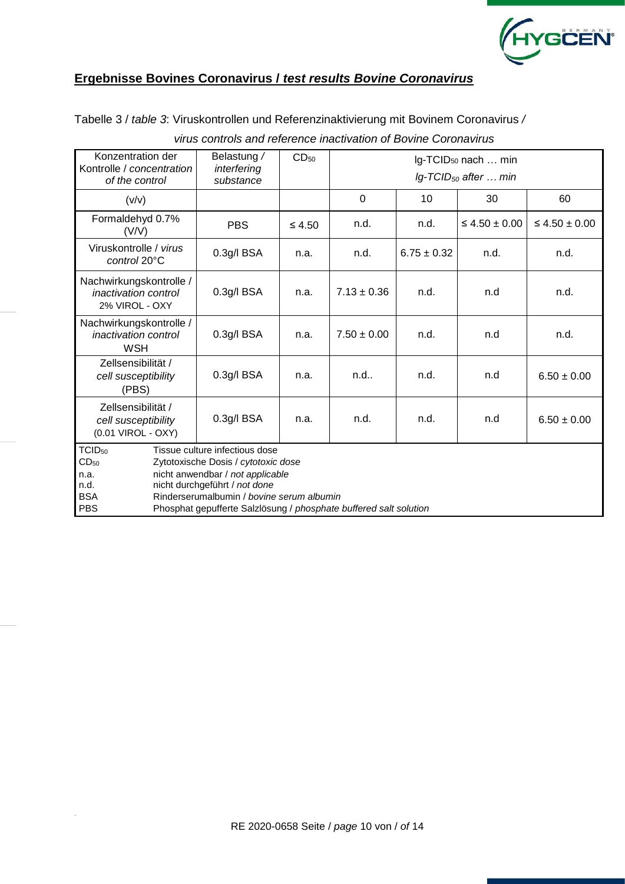

## **Ergebnisse Bovines Coronavirus /** *test results Bovine Coronavirus*

Tabelle 3 / *table 3*: Viruskontrollen und Referenzinaktivierung mit Bovinem Coronavirus */* 

| Konzentration der<br>Kontrolle / concentration<br>of the control            | Belastung /<br>interfering<br>substance                                                                                                                                                                                                                      | CD <sub>50</sub> | Ig-TCID <sub>50</sub> nach  min<br>$lg$ -TCID <sub>50</sub> after  min |                 |                      |                      |  |  |  |  |  |  |  |  |
|-----------------------------------------------------------------------------|--------------------------------------------------------------------------------------------------------------------------------------------------------------------------------------------------------------------------------------------------------------|------------------|------------------------------------------------------------------------|-----------------|----------------------|----------------------|--|--|--|--|--|--|--|--|
| (v/v)                                                                       |                                                                                                                                                                                                                                                              |                  | $\Omega$                                                               | 10              | 30                   | 60                   |  |  |  |  |  |  |  |  |
| Formaldehyd 0.7%<br>(V/V)                                                   | <b>PBS</b>                                                                                                                                                                                                                                                   | $\leq 4.50$      | n.d.                                                                   | n.d.            | $\leq 4.50 \pm 0.00$ | $\leq 4.50 \pm 0.00$ |  |  |  |  |  |  |  |  |
| Viruskontrolle / virus<br>control 20°C                                      | 0.3g/l BSA                                                                                                                                                                                                                                                   | n.a.             | n.d.                                                                   | $6.75 \pm 0.32$ | n.d.                 | n.d.                 |  |  |  |  |  |  |  |  |
| Nachwirkungskontrolle /<br><i>inactivation control</i><br>2% VIROL - OXY    | 0.3g/l BSA                                                                                                                                                                                                                                                   | n.a.             | $7.13 \pm 0.36$                                                        | n.d.            | n.d                  | n.d.                 |  |  |  |  |  |  |  |  |
| Nachwirkungskontrolle /<br><i>inactivation control</i><br><b>WSH</b>        | 0.3g/IBSA                                                                                                                                                                                                                                                    | n.a.             | $7.50 \pm 0.00$                                                        | n.d.            | n.d                  | n.d.                 |  |  |  |  |  |  |  |  |
| Zellsensibilität /<br>cell susceptibility<br>(PBS)                          | 0.3g/IBSA                                                                                                                                                                                                                                                    | n.a.             | $n.d.$ .                                                               | n.d.            | n.d                  | $6.50 \pm 0.00$      |  |  |  |  |  |  |  |  |
| Zellsensibilität /<br>cell susceptibility<br>(0.01 VIROL - OXY)             | 0.3g/l BSA                                                                                                                                                                                                                                                   | n.a.             | n.d.<br>n.d.                                                           |                 | n.d                  | $6.50 \pm 0.00$      |  |  |  |  |  |  |  |  |
| TCID <sub>50</sub><br>CD <sub>50</sub><br>n.a.<br>n.d.<br><b>BSA</b><br>PBS | Tissue culture infectious dose<br>Zytotoxische Dosis / cytotoxic dose<br>nicht anwendbar / not applicable<br>nicht durchgeführt / not done<br>Rinderserumalbumin / bovine serum albumin<br>Phosphat gepufferte Salzlösung / phosphate buffered salt solution |                  |                                                                        |                 |                      |                      |  |  |  |  |  |  |  |  |

#### *virus controls and reference inactivation of Bovine Coronavirus*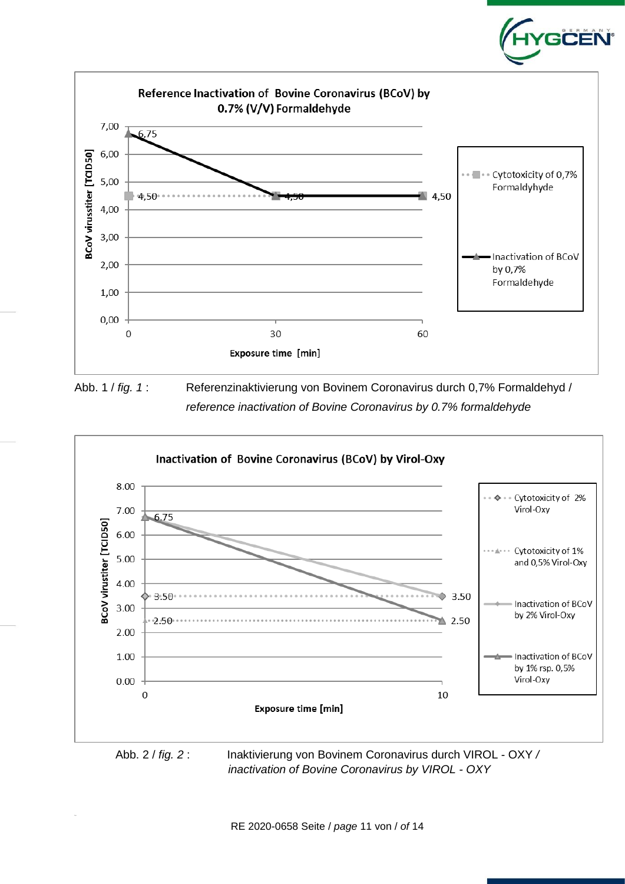

GĊĔÑ

Abb. 1 / *fig. 1* : Referenzinaktivierung von Bovinem Coronavirus durch 0,7% Formaldehyd / *reference inactivation of Bovine Coronavirus by 0.7% formaldehyde*



 *inactivation of Bovine Coronavirus by VIROL - OXY*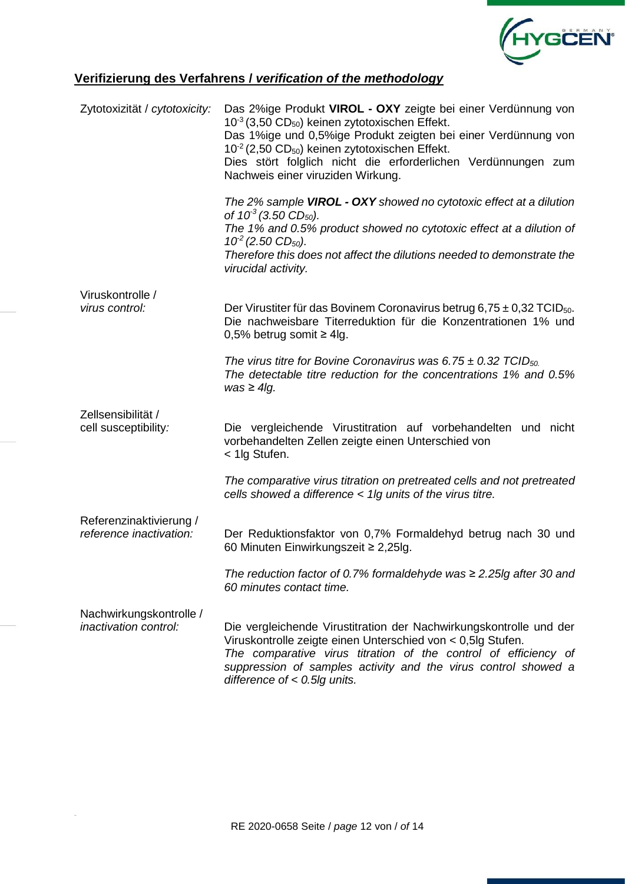

## **Verifizierung des Verfahrens /** *verification of the methodology*

| Zytotoxizität / cytotoxicity:              | Das 2%ige Produkt VIROL - OXY zeigte bei einer Verdünnung von<br>$10^{-3}$ (3,50 CD <sub>50</sub> ) keinen zytotoxischen Effekt.<br>Das 1%ige und 0,5%ige Produkt zeigten bei einer Verdünnung von<br>$10^{-2}$ (2,50 CD <sub>50</sub> ) keinen zytotoxischen Effekt.<br>Dies stört folglich nicht die erforderlichen Verdünnungen zum<br>Nachweis einer viruziden Wirkung.<br>The 2% sample VIROL - OXY showed no cytotoxic effect at a dilution |
|--------------------------------------------|---------------------------------------------------------------------------------------------------------------------------------------------------------------------------------------------------------------------------------------------------------------------------------------------------------------------------------------------------------------------------------------------------------------------------------------------------|
|                                            | of $10^3$ (3.50 CD <sub>50</sub> ).<br>The 1% and 0.5% product showed no cytotoxic effect at a dilution of<br>$10^2$ (2.50 CD <sub>50</sub> ).<br>Therefore this does not affect the dilutions needed to demonstrate the                                                                                                                                                                                                                          |
|                                            | virucidal activity.                                                                                                                                                                                                                                                                                                                                                                                                                               |
| Viruskontrolle /<br>virus control:         | Der Virustiter für das Bovinem Coronavirus betrug 6,75 $\pm$ 0,32 TCID <sub>50</sub> .<br>Die nachweisbare Titerreduktion für die Konzentrationen 1% und<br>0,5% betrug somit $\geq$ 4lg.                                                                                                                                                                                                                                                         |
|                                            | The virus titre for Bovine Coronavirus was 6.75 $\pm$ 0.32 TCID <sub>50.</sub><br>The detectable titre reduction for the concentrations 1% and 0.5%<br>$was \geq 4lg$ .                                                                                                                                                                                                                                                                           |
| Zellsensibilität /<br>cell susceptibility: | Die vergleichende Virustitration auf vorbehandelten und nicht<br>vorbehandelten Zellen zeigte einen Unterschied von<br>< 1lg Stufen.                                                                                                                                                                                                                                                                                                              |
|                                            | The comparative virus titration on pretreated cells and not pretreated<br>cells showed a difference < 1lg units of the virus titre.                                                                                                                                                                                                                                                                                                               |
| Referenzinaktivierung /                    |                                                                                                                                                                                                                                                                                                                                                                                                                                                   |
| reference inactivation:                    | Der Reduktionsfaktor von 0,7% Formaldehyd betrug nach 30 und<br>60 Minuten Einwirkungszeit ≥ 2,25lg.                                                                                                                                                                                                                                                                                                                                              |
|                                            | The reduction factor of 0.7% formaldehyde was $\geq$ 2.25lg after 30 and<br>60 minutes contact time.                                                                                                                                                                                                                                                                                                                                              |
| Nachwirkungskontrolle /                    |                                                                                                                                                                                                                                                                                                                                                                                                                                                   |
| <i>inactivation control:</i>               | Die vergleichende Virustitration der Nachwirkungskontrolle und der<br>Viruskontrolle zeigte einen Unterschied von < 0,5lg Stufen.<br>The comparative virus titration of the control of efficiency of<br>suppression of samples activity and the virus control showed a<br>difference of $< 0.5$ lg units.                                                                                                                                         |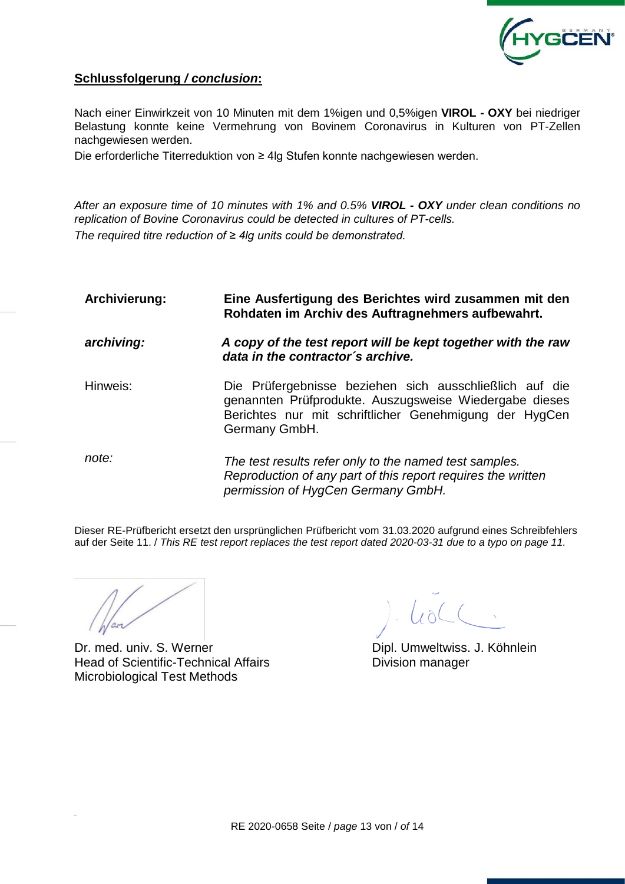

## **Schlussfolgerung** */ conclusion***:**

Nach einer Einwirkzeit von 10 Minuten mit dem 1%igen und 0,5%igen **VIROL - OXY** bei niedriger Belastung konnte keine Vermehrung von Bovinem Coronavirus in Kulturen von PT-Zellen nachgewiesen werden.

Die erforderliche Titerreduktion von ≥ 4lg Stufen konnte nachgewiesen werden.

*After an exposure time of 10 minutes with 1% and 0.5% VIROL - OXY under clean conditions no replication of Bovine Coronavirus could be detected in cultures of PT-cells. The required titre reduction of ≥ 4lg units could be demonstrated.*

| Archivierung: | Eine Ausfertigung des Berichtes wird zusammen mit den<br>Rohdaten im Archiv des Auftragnehmers aufbewahrt.                                                                                   |  |  |  |  |  |  |  |  |
|---------------|----------------------------------------------------------------------------------------------------------------------------------------------------------------------------------------------|--|--|--|--|--|--|--|--|
| archiving:    | A copy of the test report will be kept together with the raw<br>data in the contractor's archive.                                                                                            |  |  |  |  |  |  |  |  |
| Hinweis:      | Die Prüfergebnisse beziehen sich ausschließlich auf die<br>genannten Prüfprodukte. Auszugsweise Wiedergabe dieses<br>Berichtes nur mit schriftlicher Genehmigung der HygCen<br>Germany GmbH. |  |  |  |  |  |  |  |  |
| note:         | The test results refer only to the named test samples.<br>Reproduction of any part of this report requires the written<br>permission of HygCen Germany GmbH.                                 |  |  |  |  |  |  |  |  |

Dieser RE-Prüfbericht ersetzt den ursprünglichen Prüfbericht vom 31.03.2020 aufgrund eines Schreibfehlers auf der Seite 11. / *This RE test report replaces the test report dated 2020-03-31 due to a typo on page 11.*

Dr. med. univ. S. Werner **Dipl. Umweltwiss. J. Köhnlein** Head of Scientific-Technical Affairs **Example 20** Division manager Microbiological Test Methods